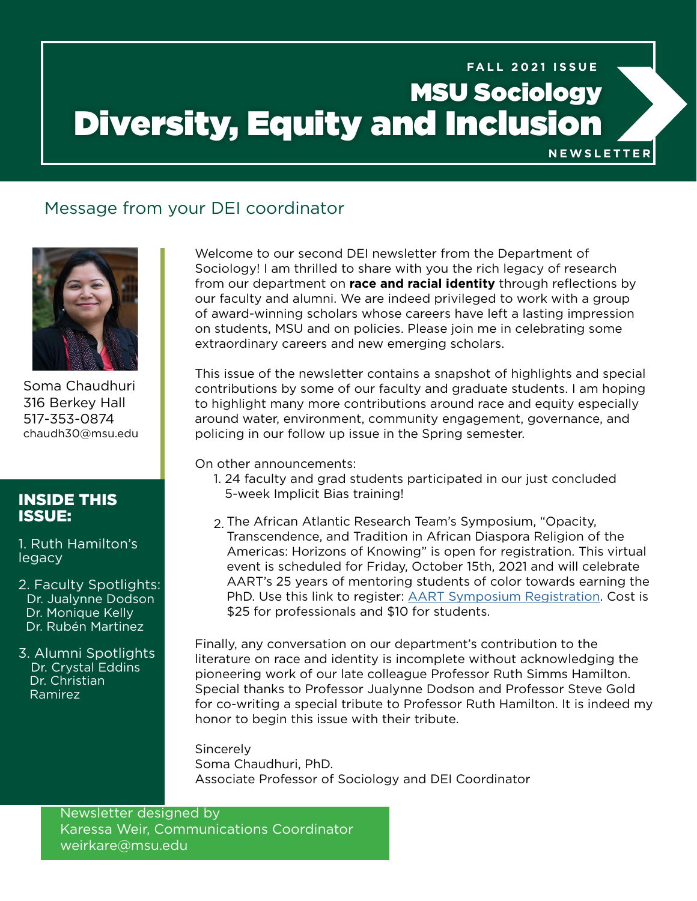## MSU Sociology Diversity, Equity and Inclusion **FALL 2021 ISSUE**

**NEWSLETTER**

## Message from your DEI coordinator



Soma Chaudhuri 316 Berkey Hall 517-353-0874 chaudh30@msu.edu

## INSIDE THIS ISSUE:

1. Ruth Hamilton's legacy

2. Faculty Spotlights: Dr. Jualynne Dodson Dr. Monique Kelly Dr. Rubén Martinez

3. Alumni Spotlights Dr. Crystal Eddins Dr. Christian Ramirez

Welcome to our second DEI newsletter from the Department of Sociology! I am thrilled to share with you the rich legacy of research from our department on **race and racial identity** through reflections by our faculty and alumni. We are indeed privileged to work with a group of award-winning scholars whose careers have left a lasting impression on students, MSU and on policies. Please join me in celebrating some extraordinary careers and new emerging scholars.

This issue of the newsletter contains a snapshot of highlights and special contributions by some of our faculty and graduate students. I am hoping to highlight many more contributions around race and equity especially around water, environment, community engagement, governance, and policing in our follow up issue in the Spring semester.

On other announcements:

- 1. 24 faculty and grad students participated in our just concluded 5-week Implicit Bias training!
- 2. The African Atlantic Research Team's Symposium, "Opacity, Transcendence, and Tradition in African Diaspora Religion of the Americas: Horizons of Knowing" is open for registration. This virtual event is scheduled for Friday, October 15th, 2021 and will celebrate AART's 25 years of mentoring students of color towards earning the PhD. Use this link to register: [AART Symposium Registration](http://AART Symposium Registration). Cost is \$25 for professionals and \$10 for students.

Finally, any conversation on our department's contribution to the literature on race and identity is incomplete without acknowledging the pioneering work of our late colleague Professor Ruth Simms Hamilton. Special thanks to Professor Jualynne Dodson and Professor Steve Gold for co-writing a special tribute to Professor Ruth Hamilton. It is indeed my honor to begin this issue with their tribute.

**Sincerely** Soma Chaudhuri, PhD. Associate Professor of Sociology and DEI Coordinator

Newsletter designed by Karessa Weir, Communications Coordinator weirkare@msu.edu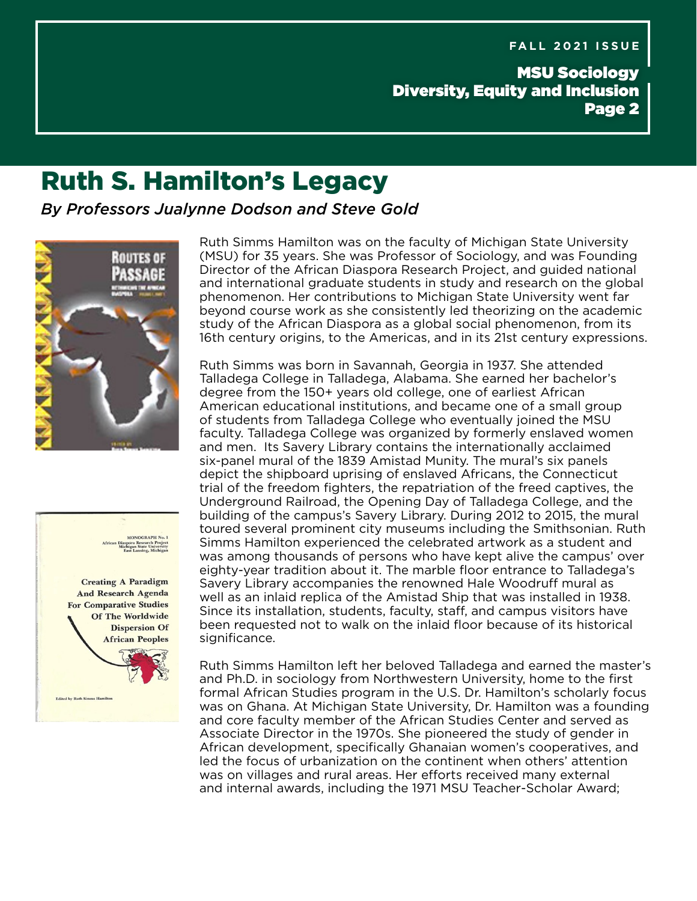## MSU Sociology Diversity, Equity and Inclusion Page 2

## Ruth S. Hamilton's Legacy

*By Professors Jualynne Dodson and Steve Gold*





Ruth Simms Hamilton was on the faculty of Michigan State University (MSU) for 35 years. She was Professor of Sociology, and was Founding Director of the African Diaspora Research Project, and guided national and international graduate students in study and research on the global phenomenon. Her contributions to Michigan State University went far beyond course work as she consistently led theorizing on the academic study of the African Diaspora as a global social phenomenon, from its 16th century origins, to the Americas, and in its 21st century expressions.

Ruth Simms was born in Savannah, Georgia in 1937. She attended Talladega College in Talladega, Alabama. She earned her bachelor's degree from the 150+ years old college, one of earliest African American educational institutions, and became one of a small group of students from Talladega College who eventually joined the MSU faculty. Talladega College was organized by formerly enslaved women and men. Its Savery Library contains the internationally acclaimed six-panel mural of the 1839 Amistad Munity. The mural's six panels depict the shipboard uprising of enslaved Africans, the Connecticut trial of the freedom fighters, the repatriation of the freed captives, the Underground Railroad, the Opening Day of Talladega College, and the building of the campus's Savery Library. During 2012 to 2015, the mural toured several prominent city museums including the Smithsonian. Ruth Simms Hamilton experienced the celebrated artwork as a student and was among thousands of persons who have kept alive the campus' over eighty-year tradition about it. The marble floor entrance to Talladega's Savery Library accompanies the renowned Hale Woodruff mural as well as an inlaid replica of the Amistad Ship that was installed in 1938. Since its installation, students, faculty, staff, and campus visitors have been requested not to walk on the inlaid floor because of its historical significance.

Ruth Simms Hamilton left her beloved Talladega and earned the master's and Ph.D. in sociology from Northwestern University, home to the first formal African Studies program in the U.S. Dr. Hamilton's scholarly focus was on Ghana. At Michigan State University, Dr. Hamilton was a founding and core faculty member of the African Studies Center and served as Associate Director in the 1970s. She pioneered the study of gender in African development, specifically Ghanaian women's cooperatives, and led the focus of urbanization on the continent when others' attention was on villages and rural areas. Her efforts received many external and internal awards, including the 1971 MSU Teacher-Scholar Award;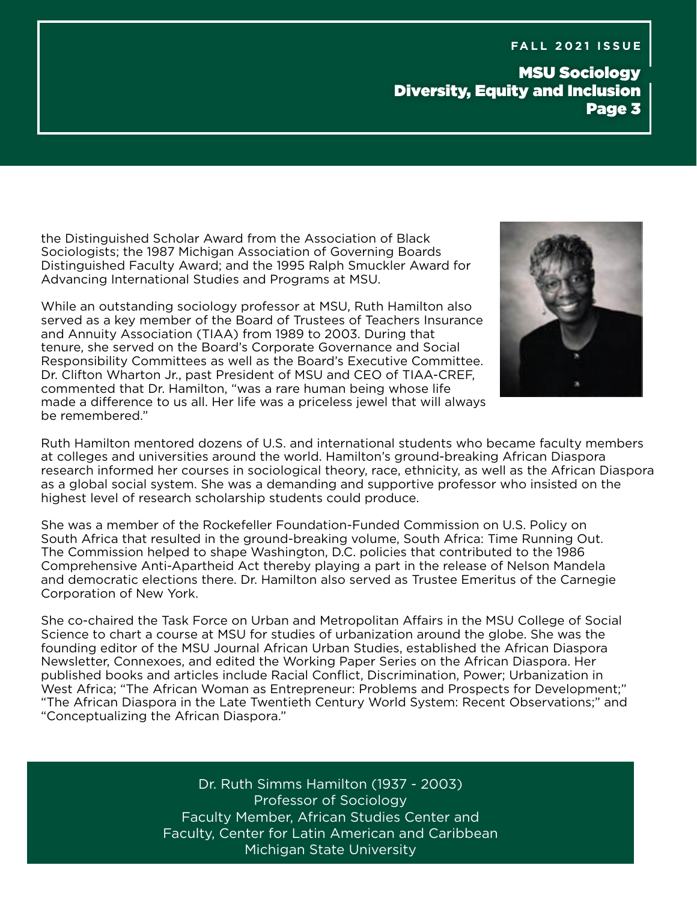MSU Sociology Diversity, Equity and Inclusion Page 3

the Distinguished Scholar Award from the Association of Black Sociologists; the 1987 Michigan Association of Governing Boards Distinguished Faculty Award; and the 1995 Ralph Smuckler Award for Advancing International Studies and Programs at MSU.

While an outstanding sociology professor at MSU, Ruth Hamilton also served as a key member of the Board of Trustees of Teachers Insurance and Annuity Association (TIAA) from 1989 to 2003. During that tenure, she served on the Board's Corporate Governance and Social Responsibility Committees as well as the Board's Executive Committee. Dr. Clifton Wharton Jr., past President of MSU and CEO of TIAA-CREF, commented that Dr. Hamilton, "was a rare human being whose life made a difference to us all. Her life was a priceless jewel that will always be remembered."



Ruth Hamilton mentored dozens of U.S. and international students who became faculty members at colleges and universities around the world. Hamilton's ground-breaking African Diaspora research informed her courses in sociological theory, race, ethnicity, as well as the African Diaspora as a global social system. She was a demanding and supportive professor who insisted on the highest level of research scholarship students could produce.

She was a member of the Rockefeller Foundation-Funded Commission on U.S. Policy on South Africa that resulted in the ground-breaking volume, South Africa: Time Running Out. The Commission helped to shape Washington, D.C. policies that contributed to the 1986 Comprehensive Anti-Apartheid Act thereby playing a part in the release of Nelson Mandela and democratic elections there. Dr. Hamilton also served as Trustee Emeritus of the Carnegie Corporation of New York.

She co-chaired the Task Force on Urban and Metropolitan Affairs in the MSU College of Social Science to chart a course at MSU for studies of urbanization around the globe. She was the founding editor of the MSU Journal African Urban Studies, established the African Diaspora Newsletter, Connexoes, and edited the Working Paper Series on the African Diaspora. Her published books and articles include Racial Conflict, Discrimination, Power; Urbanization in West Africa; "The African Woman as Entrepreneur: Problems and Prospects for Development;" "The African Diaspora in the Late Twentieth Century World System: Recent Observations;" and "Conceptualizing the African Diaspora."

> Dr. Ruth Simms Hamilton (1937 - 2003) Professor of Sociology Faculty Member, African Studies Center and Faculty, Center for Latin American and Caribbean Michigan State University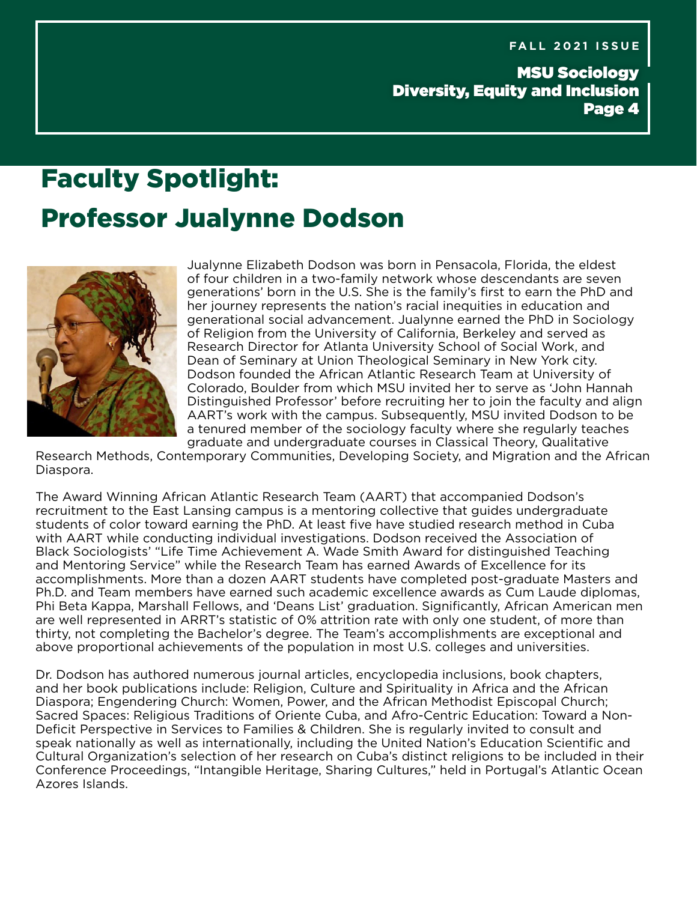MSU Sociology Diversity, Equity and Inclusion Page 4

# Faculty Spotlight: Professor Jualynne Dodson



Jualynne Elizabeth Dodson was born in Pensacola, Florida, the eldest of four children in a two-family network whose descendants are seven generations' born in the U.S. She is the family's first to earn the PhD and her journey represents the nation's racial inequities in education and generational social advancement. Jualynne earned the PhD in Sociology of Religion from the University of California, Berkeley and served as Research Director for Atlanta University School of Social Work, and Dean of Seminary at Union Theological Seminary in New York city. Dodson founded the African Atlantic Research Team at University of Colorado, Boulder from which MSU invited her to serve as 'John Hannah Distinguished Professor' before recruiting her to join the faculty and align AART's work with the campus. Subsequently, MSU invited Dodson to be a tenured member of the sociology faculty where she regularly teaches graduate and undergraduate courses in Classical Theory, Qualitative

Research Methods, Contemporary Communities, Developing Society, and Migration and the African Diaspora.

The Award Winning African Atlantic Research Team (AART) that accompanied Dodson's recruitment to the East Lansing campus is a mentoring collective that guides undergraduate students of color toward earning the PhD. At least five have studied research method in Cuba with AART while conducting individual investigations. Dodson received the Association of Black Sociologists' "Life Time Achievement A. Wade Smith Award for distinguished Teaching and Mentoring Service" while the Research Team has earned Awards of Excellence for its accomplishments. More than a dozen AART students have completed post-graduate Masters and Ph.D. and Team members have earned such academic excellence awards as Cum Laude diplomas, Phi Beta Kappa, Marshall Fellows, and 'Deans List' graduation. Significantly, African American men are well represented in ARRT's statistic of 0% attrition rate with only one student, of more than thirty, not completing the Bachelor's degree. The Team's accomplishments are exceptional and above proportional achievements of the population in most U.S. colleges and universities.

Dr. Dodson has authored numerous journal articles, encyclopedia inclusions, book chapters, and her book publications include: Religion, Culture and Spirituality in Africa and the African Diaspora; Engendering Church: Women, Power, and the African Methodist Episcopal Church; Sacred Spaces: Religious Traditions of Oriente Cuba, and Afro-Centric Education: Toward a Non-Deficit Perspective in Services to Families & Children. She is regularly invited to consult and speak nationally as well as internationally, including the United Nation's Education Scientific and Cultural Organization's selection of her research on Cuba's distinct religions to be included in their Conference Proceedings, "Intangible Heritage, Sharing Cultures," held in Portugal's Atlantic Ocean Azores Islands.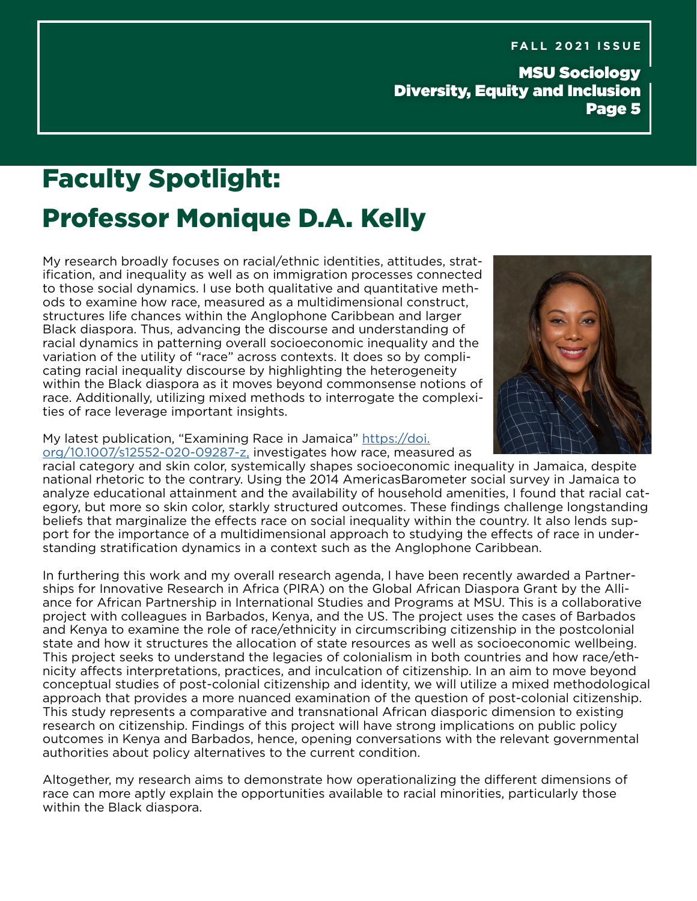MSU Sociology Diversity, Equity and Inclusion Page 5

## Faculty Spotlight: Professor Monique D.A. Kelly

My research broadly focuses on racial/ethnic identities, attitudes, stratification, and inequality as well as on immigration processes connected to those social dynamics. I use both qualitative and quantitative methods to examine how race, measured as a multidimensional construct, structures life chances within the Anglophone Caribbean and larger Black diaspora. Thus, advancing the discourse and understanding of racial dynamics in patterning overall socioeconomic inequality and the variation of the utility of "race" across contexts. It does so by complicating racial inequality discourse by highlighting the heterogeneity within the Black diaspora as it moves beyond commonsense notions of race. Additionally, utilizing mixed methods to interrogate the complexities of race leverage important insights.



#### My latest publication, "Examining Race in Jamaica" [https://doi.](https://doi.org/10.1007/s12552-020-09287-z,) [org/10.1007/s12552-020-09287-z,](https://doi.org/10.1007/s12552-020-09287-z,) investigates how race, measured as

racial category and skin color, systemically shapes socioeconomic inequality in Jamaica, despite national rhetoric to the contrary. Using the 2014 AmericasBarometer social survey in Jamaica to analyze educational attainment and the availability of household amenities, I found that racial category, but more so skin color, starkly structured outcomes. These findings challenge longstanding beliefs that marginalize the effects race on social inequality within the country. It also lends support for the importance of a multidimensional approach to studying the effects of race in understanding stratification dynamics in a context such as the Anglophone Caribbean.

In furthering this work and my overall research agenda, I have been recently awarded a Partnerships for Innovative Research in Africa (PIRA) on the Global African Diaspora Grant by the Alliance for African Partnership in International Studies and Programs at MSU. This is a collaborative project with colleagues in Barbados, Kenya, and the US. The project uses the cases of Barbados and Kenya to examine the role of race/ethnicity in circumscribing citizenship in the postcolonial state and how it structures the allocation of state resources as well as socioeconomic wellbeing. This project seeks to understand the legacies of colonialism in both countries and how race/ethnicity affects interpretations, practices, and inculcation of citizenship. In an aim to move beyond conceptual studies of post-colonial citizenship and identity, we will utilize a mixed methodological approach that provides a more nuanced examination of the question of post-colonial citizenship. This study represents a comparative and transnational African diasporic dimension to existing research on citizenship. Findings of this project will have strong implications on public policy outcomes in Kenya and Barbados, hence, opening conversations with the relevant governmental authorities about policy alternatives to the current condition.

Altogether, my research aims to demonstrate how operationalizing the different dimensions of race can more aptly explain the opportunities available to racial minorities, particularly those within the Black diaspora.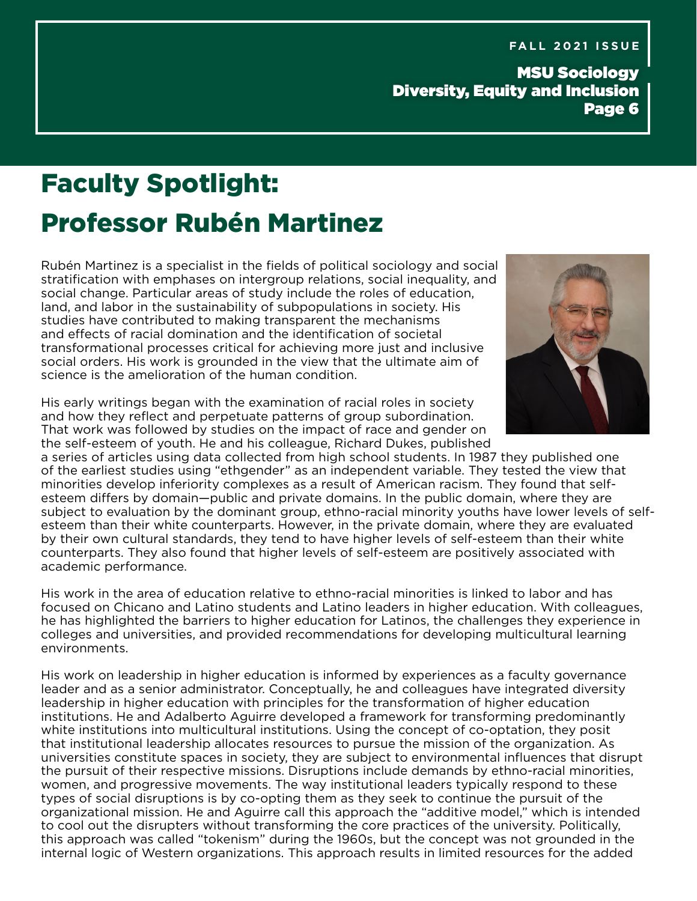MSU Sociology Diversity, Equity and Inclusion Page 6

## Faculty Spotlight: Professor Rubén Martinez

Rubén Martinez is a specialist in the fields of political sociology and social stratification with emphases on intergroup relations, social inequality, and social change. Particular areas of study include the roles of education, land, and labor in the sustainability of subpopulations in society. His studies have contributed to making transparent the mechanisms and effects of racial domination and the identification of societal transformational processes critical for achieving more just and inclusive social orders. His work is grounded in the view that the ultimate aim of science is the amelioration of the human condition.

His early writings began with the examination of racial roles in society and how they reflect and perpetuate patterns of group subordination. That work was followed by studies on the impact of race and gender on the self-esteem of youth. He and his colleague, Richard Dukes, published



a series of articles using data collected from high school students. In 1987 they published one of the earliest studies using "ethgender" as an independent variable. They tested the view that minorities develop inferiority complexes as a result of American racism. They found that selfesteem differs by domain—public and private domains. In the public domain, where they are subject to evaluation by the dominant group, ethno-racial minority youths have lower levels of selfesteem than their white counterparts. However, in the private domain, where they are evaluated by their own cultural standards, they tend to have higher levels of self-esteem than their white counterparts. They also found that higher levels of self-esteem are positively associated with academic performance.

His work in the area of education relative to ethno-racial minorities is linked to labor and has focused on Chicano and Latino students and Latino leaders in higher education. With colleagues, he has highlighted the barriers to higher education for Latinos, the challenges they experience in colleges and universities, and provided recommendations for developing multicultural learning environments.

His work on leadership in higher education is informed by experiences as a faculty governance leader and as a senior administrator. Conceptually, he and colleagues have integrated diversity leadership in higher education with principles for the transformation of higher education institutions. He and Adalberto Aguirre developed a framework for transforming predominantly white institutions into multicultural institutions. Using the concept of co-optation, they posit that institutional leadership allocates resources to pursue the mission of the organization. As universities constitute spaces in society, they are subject to environmental influences that disrupt the pursuit of their respective missions. Disruptions include demands by ethno-racial minorities, women, and progressive movements. The way institutional leaders typically respond to these types of social disruptions is by co-opting them as they seek to continue the pursuit of the organizational mission. He and Aguirre call this approach the "additive model," which is intended to cool out the disrupters without transforming the core practices of the university. Politically, this approach was called "tokenism" during the 1960s, but the concept was not grounded in the internal logic of Western organizations. This approach results in limited resources for the added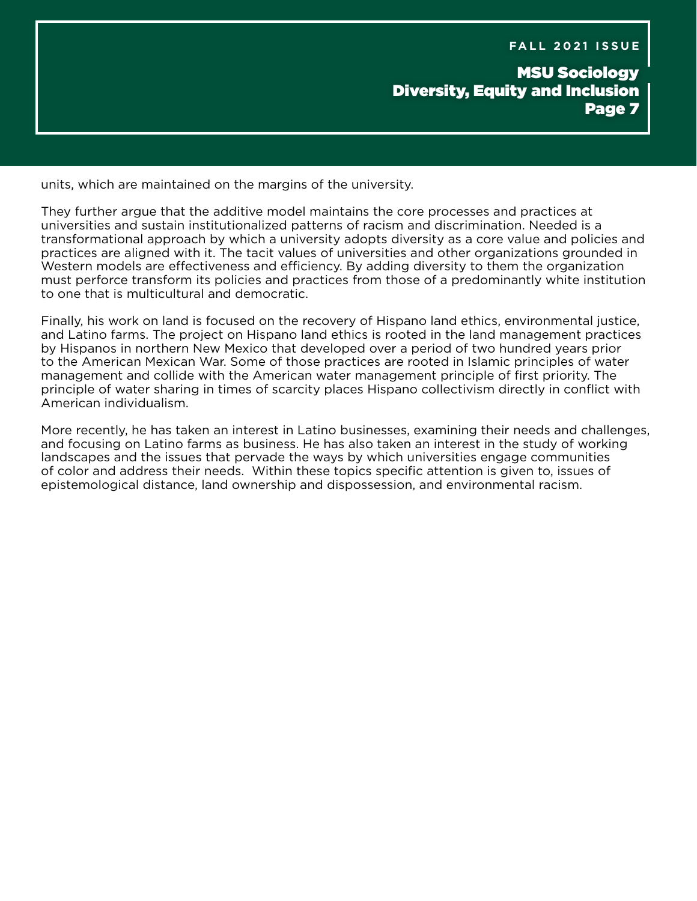## MSU Sociology Diversity, Equity and Inclusion Page 7

units, which are maintained on the margins of the university.

They further argue that the additive model maintains the core processes and practices at universities and sustain institutionalized patterns of racism and discrimination. Needed is a transformational approach by which a university adopts diversity as a core value and policies and practices are aligned with it. The tacit values of universities and other organizations grounded in Western models are effectiveness and efficiency. By adding diversity to them the organization must perforce transform its policies and practices from those of a predominantly white institution to one that is multicultural and democratic.

Finally, his work on land is focused on the recovery of Hispano land ethics, environmental justice, and Latino farms. The project on Hispano land ethics is rooted in the land management practices by Hispanos in northern New Mexico that developed over a period of two hundred years prior to the American Mexican War. Some of those practices are rooted in Islamic principles of water management and collide with the American water management principle of first priority. The principle of water sharing in times of scarcity places Hispano collectivism directly in conflict with American individualism.

More recently, he has taken an interest in Latino businesses, examining their needs and challenges, and focusing on Latino farms as business. He has also taken an interest in the study of working landscapes and the issues that pervade the ways by which universities engage communities of color and address their needs. Within these topics specific attention is given to, issues of epistemological distance, land ownership and dispossession, and environmental racism.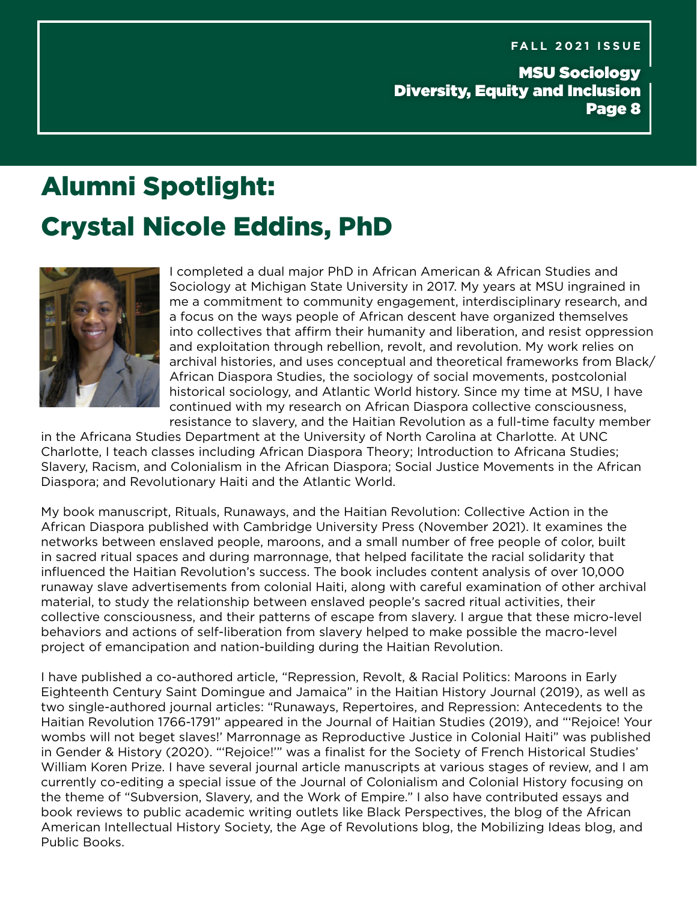MSU Sociology Diversity, Equity and Inclusion Page 8

# Alumni Spotlight: Crystal Nicole Eddins, PhD



I completed a dual major PhD in African American & African Studies and Sociology at Michigan State University in 2017. My years at MSU ingrained in me a commitment to community engagement, interdisciplinary research, and a focus on the ways people of African descent have organized themselves into collectives that affirm their humanity and liberation, and resist oppression and exploitation through rebellion, revolt, and revolution. My work relies on archival histories, and uses conceptual and theoretical frameworks from Black/ African Diaspora Studies, the sociology of social movements, postcolonial historical sociology, and Atlantic World history. Since my time at MSU, I have continued with my research on African Diaspora collective consciousness, resistance to slavery, and the Haitian Revolution as a full-time faculty member

in the Africana Studies Department at the University of North Carolina at Charlotte. At UNC Charlotte, I teach classes including African Diaspora Theory; Introduction to Africana Studies; Slavery, Racism, and Colonialism in the African Diaspora; Social Justice Movements in the African Diaspora; and Revolutionary Haiti and the Atlantic World.

My book manuscript, Rituals, Runaways, and the Haitian Revolution: Collective Action in the African Diaspora published with Cambridge University Press (November 2021). It examines the networks between enslaved people, maroons, and a small number of free people of color, built in sacred ritual spaces and during marronnage, that helped facilitate the racial solidarity that influenced the Haitian Revolution's success. The book includes content analysis of over 10,000 runaway slave advertisements from colonial Haiti, along with careful examination of other archival material, to study the relationship between enslaved people's sacred ritual activities, their collective consciousness, and their patterns of escape from slavery. I argue that these micro-level behaviors and actions of self-liberation from slavery helped to make possible the macro-level project of emancipation and nation-building during the Haitian Revolution.

I have published a co-authored article, "Repression, Revolt, & Racial Politics: Maroons in Early Eighteenth Century Saint Domingue and Jamaica" in the Haitian History Journal (2019), as well as two single-authored journal articles: "Runaways, Repertoires, and Repression: Antecedents to the Haitian Revolution 1766-1791" appeared in the Journal of Haitian Studies (2019), and "'Rejoice! Your wombs will not beget slaves!' Marronnage as Reproductive Justice in Colonial Haiti" was published in Gender & History (2020). "'Rejoice!'" was a finalist for the Society of French Historical Studies' William Koren Prize. I have several journal article manuscripts at various stages of review, and I am currently co-editing a special issue of the Journal of Colonialism and Colonial History focusing on the theme of "Subversion, Slavery, and the Work of Empire." I also have contributed essays and book reviews to public academic writing outlets like Black Perspectives, the blog of the African American Intellectual History Society, the Age of Revolutions blog, the Mobilizing Ideas blog, and Public Books.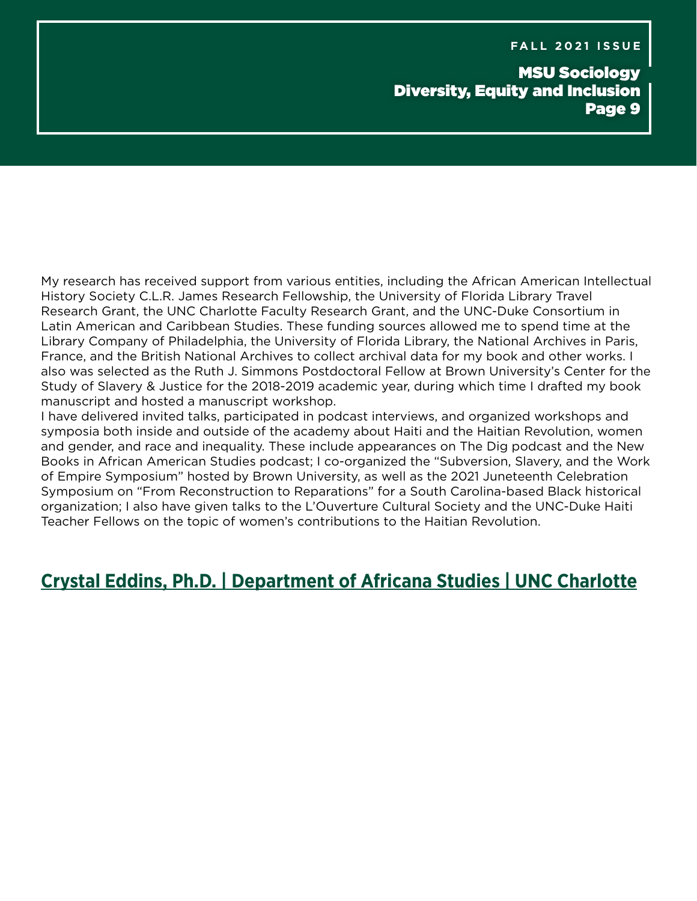## MSU Sociology Diversity, Equity and Inclusion Page 9

My research has received support from various entities, including the African American Intellectual History Society C.L.R. James Research Fellowship, the University of Florida Library Travel Research Grant, the UNC Charlotte Faculty Research Grant, and the UNC-Duke Consortium in Latin American and Caribbean Studies. These funding sources allowed me to spend time at the Library Company of Philadelphia, the University of Florida Library, the National Archives in Paris, France, and the British National Archives to collect archival data for my book and other works. I also was selected as the Ruth J. Simmons Postdoctoral Fellow at Brown University's Center for the Study of Slavery & Justice for the 2018-2019 academic year, during which time I drafted my book manuscript and hosted a manuscript workshop.

I have delivered invited talks, participated in podcast interviews, and organized workshops and symposia both inside and outside of the academy about Haiti and the Haitian Revolution, women and gender, and race and inequality. These include appearances on The Dig podcast and the New Books in African American Studies podcast; I co-organized the "Subversion, Slavery, and the Work of Empire Symposium" hosted by Brown University, as well as the 2021 Juneteenth Celebration Symposium on "From Reconstruction to Reparations" for a South Carolina-based Black historical organization; I also have given talks to the L'Ouverture Cultural Society and the UNC-Duke Haiti Teacher Fellows on the topic of women's contributions to the Haitian Revolution.

## **[Crystal Eddins, Ph.D. | Department of Africana Studies | UNC Charlotte](https://africana.charlotte.edu/directory/crystal-eddins-phd)**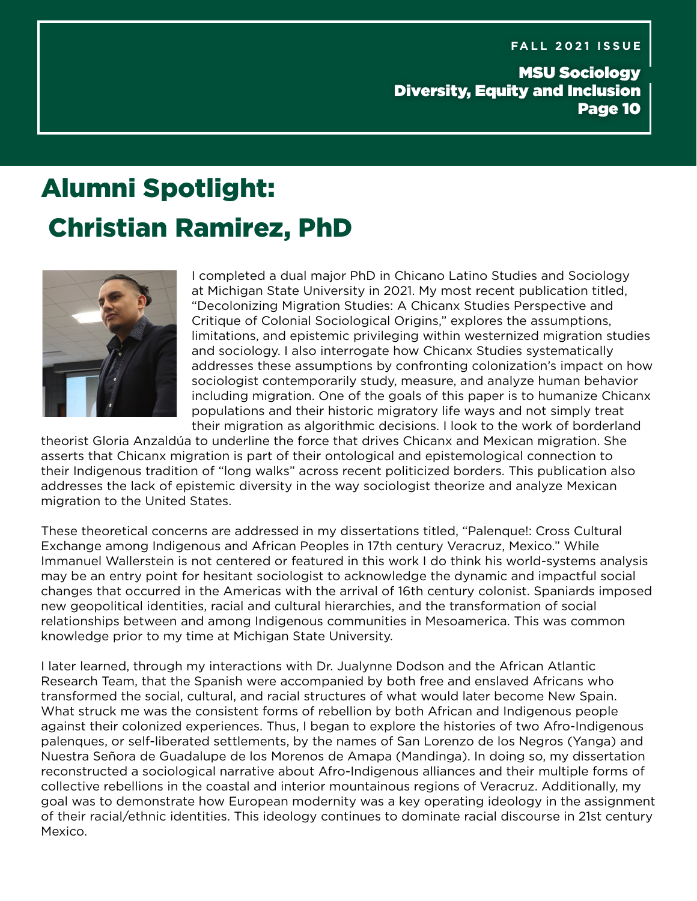MSU Sociology Diversity, Equity and Inclusion Page 10

# Alumni Spotlight: Christian Ramirez, PhD



I completed a dual major PhD in Chicano Latino Studies and Sociology at Michigan State University in 2021. My most recent publication titled, "Decolonizing Migration Studies: A Chicanx Studies Perspective and Critique of Colonial Sociological Origins," explores the assumptions, limitations, and epistemic privileging within westernized migration studies and sociology. I also interrogate how Chicanx Studies systematically addresses these assumptions by confronting colonization's impact on how sociologist contemporarily study, measure, and analyze human behavior including migration. One of the goals of this paper is to humanize Chicanx populations and their historic migratory life ways and not simply treat their migration as algorithmic decisions. I look to the work of borderland

theorist Gloria Anzaldúa to underline the force that drives Chicanx and Mexican migration. She asserts that Chicanx migration is part of their ontological and epistemological connection to their Indigenous tradition of "long walks" across recent politicized borders. This publication also addresses the lack of epistemic diversity in the way sociologist theorize and analyze Mexican migration to the United States.

These theoretical concerns are addressed in my dissertations titled, "Palenque!: Cross Cultural Exchange among Indigenous and African Peoples in 17th century Veracruz, Mexico." While Immanuel Wallerstein is not centered or featured in this work I do think his world-systems analysis may be an entry point for hesitant sociologist to acknowledge the dynamic and impactful social changes that occurred in the Americas with the arrival of 16th century colonist. Spaniards imposed new geopolitical identities, racial and cultural hierarchies, and the transformation of social relationships between and among Indigenous communities in Mesoamerica. This was common knowledge prior to my time at Michigan State University.

I later learned, through my interactions with Dr. Jualynne Dodson and the African Atlantic Research Team, that the Spanish were accompanied by both free and enslaved Africans who transformed the social, cultural, and racial structures of what would later become New Spain. What struck me was the consistent forms of rebellion by both African and Indigenous people against their colonized experiences. Thus, I began to explore the histories of two Afro-Indigenous palenques, or self-liberated settlements, by the names of San Lorenzo de los Negros (Yanga) and Nuestra Señora de Guadalupe de los Morenos de Amapa (Mandinga). In doing so, my dissertation reconstructed a sociological narrative about Afro-Indigenous alliances and their multiple forms of collective rebellions in the coastal and interior mountainous regions of Veracruz. Additionally, my goal was to demonstrate how European modernity was a key operating ideology in the assignment of their racial/ethnic identities. This ideology continues to dominate racial discourse in 21st century Mexico.